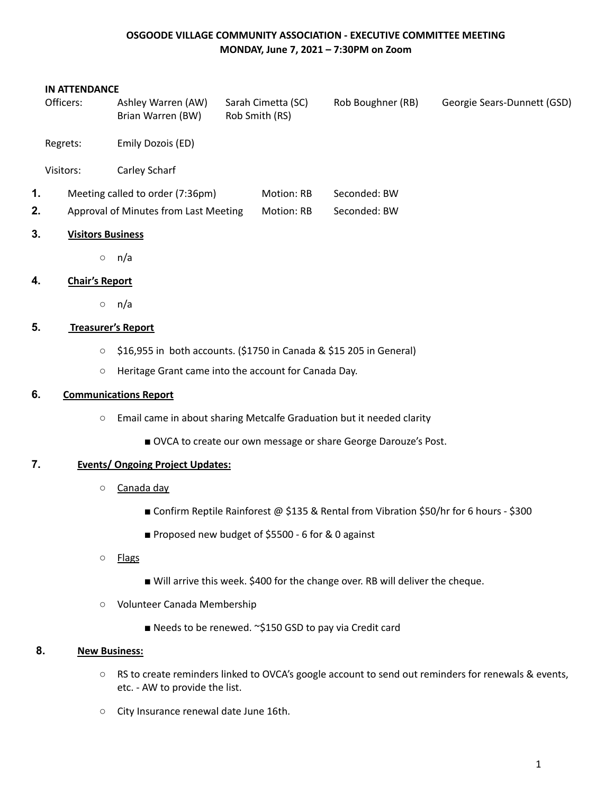## **OSGOODE VILLAGE COMMUNITY ASSOCIATION - EXECUTIVE COMMITTEE MEETING MONDAY, June 7, 2021 – 7:30PM on Zoom**

#### **IN ATTENDANCE**

|    | Officers:                             | Ashley Warren (AW)<br>Brian Warren (BW) |            | Sarah Cimetta (SC)<br>Rob Smith (RS) | Rob Boughner (RB) | Georgie Sears-Dunnett (GSD) |
|----|---------------------------------------|-----------------------------------------|------------|--------------------------------------|-------------------|-----------------------------|
|    | Regrets:                              | Emily Dozois (ED)                       |            |                                      |                   |                             |
|    | Visitors:                             | Carley Scharf                           |            |                                      |                   |                             |
| 1. | Meeting called to order (7:36pm)      |                                         | Motion: RB | Seconded: BW                         |                   |                             |
| 2. | Approval of Minutes from Last Meeting |                                         | Motion: RB | Seconded: BW                         |                   |                             |
| 3. | <b>Visitors Business</b>              |                                         |            |                                      |                   |                             |
|    | $\circlearrowright$                   | n/a                                     |            |                                      |                   |                             |
|    |                                       |                                         |            |                                      |                   |                             |

## **4. Chair's Report**

○ n/a

## **5. Treasurer's Report**

- \$16,955 in both accounts. (\$1750 in Canada & \$15 205 in General)
- Heritage Grant came into the account for Canada Day.

### **6. Communications Report**

- Email came in about sharing Metcalfe Graduation but it needed clarity
	- OVCA to create our own message or share George Darouze's Post.

## **7. Events/ Ongoing Project Updates:**

- Canada day
	- Confirm Reptile Rainforest @ \$135 & Rental from Vibration \$50/hr for 6 hours \$300
	- Proposed new budget of \$5500 6 for & 0 against

#### ○ Flags

- Will arrive this week. \$400 for the change over. RB will deliver the cheque.
- Volunteer Canada Membership
	- Needs to be renewed. ~\$150 GSD to pay via Credit card

## **8. New Business:**

- RS to create reminders linked to OVCA's google account to send out reminders for renewals & events, etc. - AW to provide the list.
- City Insurance renewal date June 16th.